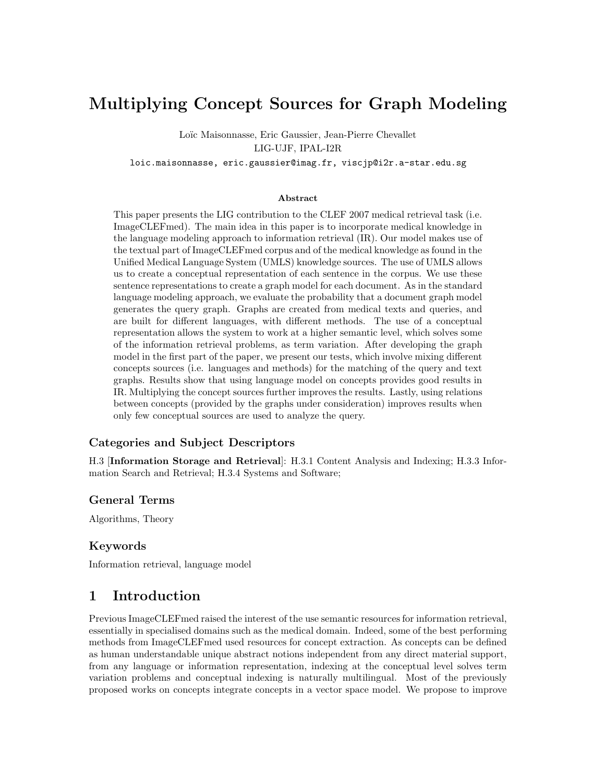# Multiplying Concept Sources for Graph Modeling

Loïc Maisonnasse, Eric Gaussier, Jean-Pierre Chevallet LIG-UJF, IPAL-I2R

loic.maisonnasse, eric.gaussier@imag.fr, viscjp@i2r.a-star.edu.sg

#### Abstract

This paper presents the LIG contribution to the CLEF 2007 medical retrieval task (i.e. ImageCLEFmed). The main idea in this paper is to incorporate medical knowledge in the language modeling approach to information retrieval (IR). Our model makes use of the textual part of ImageCLEFmed corpus and of the medical knowledge as found in the Unified Medical Language System (UMLS) knowledge sources. The use of UMLS allows us to create a conceptual representation of each sentence in the corpus. We use these sentence representations to create a graph model for each document. As in the standard language modeling approach, we evaluate the probability that a document graph model generates the query graph. Graphs are created from medical texts and queries, and are built for different languages, with different methods. The use of a conceptual representation allows the system to work at a higher semantic level, which solves some of the information retrieval problems, as term variation. After developing the graph model in the first part of the paper, we present our tests, which involve mixing different concepts sources (i.e. languages and methods) for the matching of the query and text graphs. Results show that using language model on concepts provides good results in IR. Multiplying the concept sources further improves the results. Lastly, using relations between concepts (provided by the graphs under consideration) improves results when only few conceptual sources are used to analyze the query.

#### Categories and Subject Descriptors

H.3 [Information Storage and Retrieval]: H.3.1 Content Analysis and Indexing; H.3.3 Information Search and Retrieval; H.3.4 Systems and Software;

#### General Terms

Algorithms, Theory

#### Keywords

Information retrieval, language model

## 1 Introduction

Previous ImageCLEFmed raised the interest of the use semantic resources for information retrieval, essentially in specialised domains such as the medical domain. Indeed, some of the best performing methods from ImageCLEFmed used resources for concept extraction. As concepts can be defined as human understandable unique abstract notions independent from any direct material support, from any language or information representation, indexing at the conceptual level solves term variation problems and conceptual indexing is naturally multilingual. Most of the previously proposed works on concepts integrate concepts in a vector space model. We propose to improve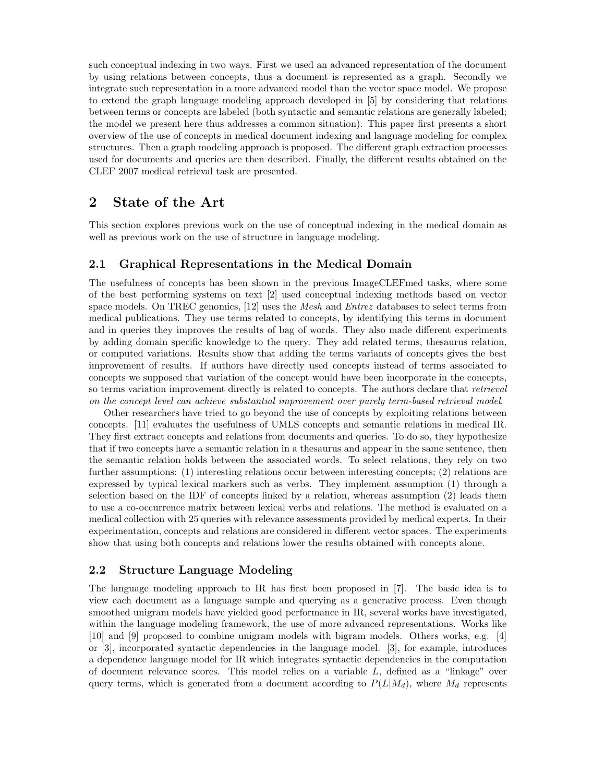such conceptual indexing in two ways. First we used an advanced representation of the document by using relations between concepts, thus a document is represented as a graph. Secondly we integrate such representation in a more advanced model than the vector space model. We propose to extend the graph language modeling approach developed in [5] by considering that relations between terms or concepts are labeled (both syntactic and semantic relations are generally labeled; the model we present here thus addresses a common situation). This paper first presents a short overview of the use of concepts in medical document indexing and language modeling for complex structures. Then a graph modeling approach is proposed. The different graph extraction processes used for documents and queries are then described. Finally, the different results obtained on the CLEF 2007 medical retrieval task are presented.

# 2 State of the Art

This section explores previous work on the use of conceptual indexing in the medical domain as well as previous work on the use of structure in language modeling.

#### 2.1 Graphical Representations in the Medical Domain

The usefulness of concepts has been shown in the previous ImageCLEFmed tasks, where some of the best performing systems on text [2] used conceptual indexing methods based on vector space models. On TREC genomics, [12] uses the *Mesh* and *Entrez* databases to select terms from medical publications. They use terms related to concepts, by identifying this terms in document and in queries they improves the results of bag of words. They also made different experiments by adding domain specific knowledge to the query. They add related terms, thesaurus relation, or computed variations. Results show that adding the terms variants of concepts gives the best improvement of results. If authors have directly used concepts instead of terms associated to concepts we supposed that variation of the concept would have been incorporate in the concepts, so terms variation improvement directly is related to concepts. The authors declare that *retrieval* on the concept level can achieve substantial improvement over purely term-based retrieval model.

Other researchers have tried to go beyond the use of concepts by exploiting relations between concepts. [11] evaluates the usefulness of UMLS concepts and semantic relations in medical IR. They first extract concepts and relations from documents and queries. To do so, they hypothesize that if two concepts have a semantic relation in a thesaurus and appear in the same sentence, then the semantic relation holds between the associated words. To select relations, they rely on two further assumptions: (1) interesting relations occur between interesting concepts; (2) relations are expressed by typical lexical markers such as verbs. They implement assumption (1) through a selection based on the IDF of concepts linked by a relation, whereas assumption (2) leads them to use a co-occurrence matrix between lexical verbs and relations. The method is evaluated on a medical collection with 25 queries with relevance assessments provided by medical experts. In their experimentation, concepts and relations are considered in different vector spaces. The experiments show that using both concepts and relations lower the results obtained with concepts alone.

#### 2.2 Structure Language Modeling

The language modeling approach to IR has first been proposed in [7]. The basic idea is to view each document as a language sample and querying as a generative process. Even though smoothed unigram models have yielded good performance in IR, several works have investigated, within the language modeling framework, the use of more advanced representations. Works like [10] and [9] proposed to combine unigram models with bigram models. Others works, e.g. [4] or [3], incorporated syntactic dependencies in the language model. [3], for example, introduces a dependence language model for IR which integrates syntactic dependencies in the computation of document relevance scores. This model relies on a variable L, defined as a "linkage" over query terms, which is generated from a document according to  $P(L|M_d)$ , where  $M_d$  represents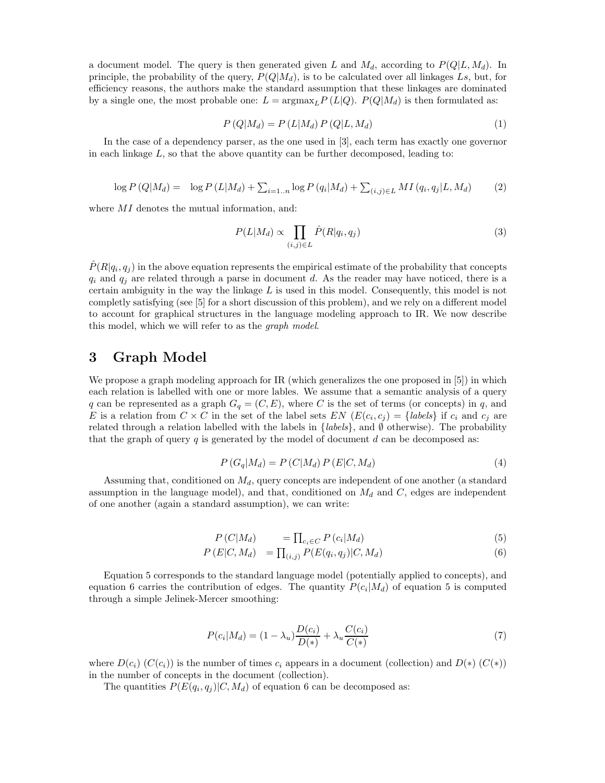a document model. The query is then generated given L and  $M_d$ , according to  $P(Q|L, M_d)$ . In principle, the probability of the query,  $P(Q|M_d)$ , is to be calculated over all linkages Ls, but, for efficiency reasons, the authors make the standard assumption that these linkages are dominated by a single one, the most probable one:  $L = \text{argmax}_{L} P(L|Q)$ .  $P(Q|M_d)$  is then formulated as:

$$
P(Q|M_d) = P(L|M_d) P(Q|L, M_d)
$$
\n
$$
(1)
$$

In the case of a dependency parser, as the one used in [3], each term has exactly one governor in each linkage  $L$ , so that the above quantity can be further decomposed, leading to:

$$
\log P(Q|M_d) = \log P(L|M_d) + \sum_{i=1..n} \log P(q_i|M_d) + \sum_{(i,j)\in L} MI(q_i, q_j|L, M_d)
$$
 (2)

where  $MI$  denotes the mutual information, and:

$$
P(L|M_d) \propto \prod_{(i,j)\in L} \hat{P}(R|q_i, q_j) \tag{3}
$$

 $\hat{P}(R|q_i, q_j)$  in the above equation represents the empirical estimate of the probability that concepts  $q_i$  and  $q_j$  are related through a parse in document d. As the reader may have noticed, there is a certain ambiguity in the way the linkage  $L$  is used in this model. Consequently, this model is not completly satisfying (see [5] for a short discussion of this problem), and we rely on a different model to account for graphical structures in the language modeling approach to IR. We now describe this model, which we will refer to as the graph model.

# 3 Graph Model

We propose a graph modeling approach for IR (which generalizes the one proposed in [5]) in which each relation is labelled with one or more lables. We assume that a semantic analysis of a query q can be represented as a graph  $G_q = (C, E)$ , where C is the set of terms (or concepts) in q, and E is a relation from  $C \times C$  in the set of the label sets  $EN (E(c_i, c_j) = \{labels\}$  if  $c_i$  and  $c_j$  are related through a relation labelled with the labels in  ${labels}$ , and  $\emptyset$  otherwise). The probability that the graph of query  $q$  is generated by the model of document  $d$  can be decomposed as:

$$
P(G_q|M_d) = P(C|M_d) P(E|C, M_d)
$$
\n
$$
(4)
$$

Assuming that, conditioned on  $M_d$ , query concepts are independent of one another (a standard assumption in the language model), and that, conditioned on  $M_d$  and C, edges are independent of one another (again a standard assumption), we can write:

$$
P(C|M_d) = \prod_{c_i \in C} P(c_i|M_d)
$$
\n
$$
(5)
$$

$$
P(E|C, M_d) = \prod_{(i,j)} P(E(q_i, q_j)|C, M_d)
$$
\n
$$
(6)
$$

Equation 5 corresponds to the standard language model (potentially applied to concepts), and equation 6 carries the contribution of edges. The quantity  $P(c_i|M_d)$  of equation 5 is computed through a simple Jelinek-Mercer smoothing:

$$
P(c_i|M_d) = (1 - \lambda_u) \frac{D(c_i)}{D(*)} + \lambda_u \frac{C(c_i)}{C(*)}
$$
\n(7)

where  $D(c_i)$   $(C(c_i))$  is the number of times  $c_i$  appears in a document (collection) and  $D(*)$   $(C(*))$ in the number of concepts in the document (collection).

The quantities  $P(E(q_i, q_j)|C, M_d)$  of equation 6 can be decomposed as: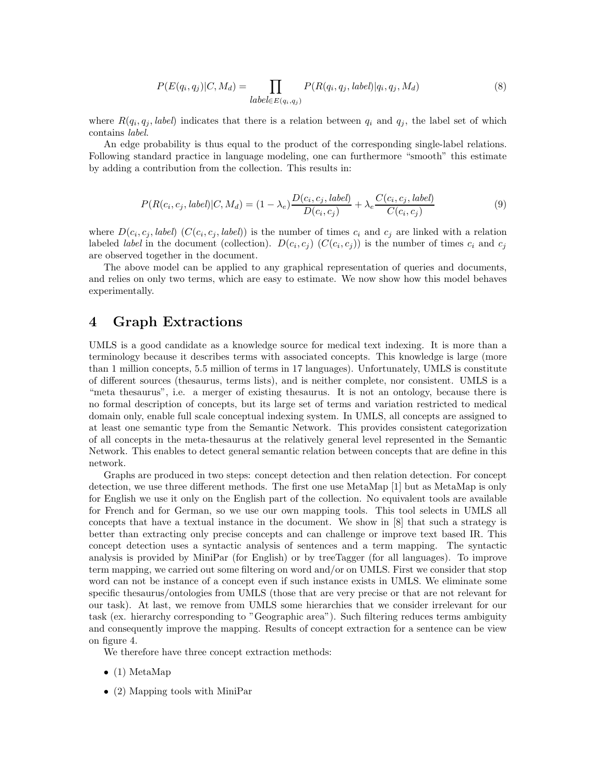$$
P(E(q_i, q_j)|C, M_d) = \prod_{\text{label} \in E(q_i, q_j)} P(R(q_i, q_j, \text{label})|q_i, q_j, M_d)
$$
\n
$$
(8)
$$

where  $R(q_i, q_j, label)$  indicates that there is a relation between  $q_i$  and  $q_j$ , the label set of which contains label.

An edge probability is thus equal to the product of the corresponding single-label relations. Following standard practice in language modeling, one can furthermore "smooth" this estimate by adding a contribution from the collection. This results in:

$$
P(R(c_i, c_j, label)|C, M_d) = (1 - \lambda_e) \frac{D(c_i, c_j, label)}{D(c_i, c_j)} + \lambda_e \frac{C(c_i, c_j, label)}{C(c_i, c_j)}
$$
(9)

where  $D(c_i, c_j, label)$  ( $C(c_i, c_j, label)$ ) is the number of times  $c_i$  and  $c_j$  are linked with a relation labeled *label* in the document (collection).  $D(c_i, c_j)$  ( $C(c_i, c_j)$ ) is the number of times  $c_i$  and  $c_j$ are observed together in the document.

The above model can be applied to any graphical representation of queries and documents, and relies on only two terms, which are easy to estimate. We now show how this model behaves experimentally.

# 4 Graph Extractions

UMLS is a good candidate as a knowledge source for medical text indexing. It is more than a terminology because it describes terms with associated concepts. This knowledge is large (more than 1 million concepts, 5.5 million of terms in 17 languages). Unfortunately, UMLS is constitute of different sources (thesaurus, terms lists), and is neither complete, nor consistent. UMLS is a "meta thesaurus", i.e. a merger of existing thesaurus. It is not an ontology, because there is no formal description of concepts, but its large set of terms and variation restricted to medical domain only, enable full scale conceptual indexing system. In UMLS, all concepts are assigned to at least one semantic type from the Semantic Network. This provides consistent categorization of all concepts in the meta-thesaurus at the relatively general level represented in the Semantic Network. This enables to detect general semantic relation between concepts that are define in this network.

Graphs are produced in two steps: concept detection and then relation detection. For concept detection, we use three different methods. The first one use MetaMap [1] but as MetaMap is only for English we use it only on the English part of the collection. No equivalent tools are available for French and for German, so we use our own mapping tools. This tool selects in UMLS all concepts that have a textual instance in the document. We show in [8] that such a strategy is better than extracting only precise concepts and can challenge or improve text based IR. This concept detection uses a syntactic analysis of sentences and a term mapping. The syntactic analysis is provided by MiniPar (for English) or by treeTagger (for all languages). To improve term mapping, we carried out some filtering on word and/or on UMLS. First we consider that stop word can not be instance of a concept even if such instance exists in UMLS. We eliminate some specific thesaurus/ontologies from UMLS (those that are very precise or that are not relevant for our task). At last, we remove from UMLS some hierarchies that we consider irrelevant for our task (ex. hierarchy corresponding to "Geographic area"). Such filtering reduces terms ambiguity and consequently improve the mapping. Results of concept extraction for a sentence can be view on figure 4.

We therefore have three concept extraction methods:

- $\bullet$  (1) MetaMap
- (2) Mapping tools with MiniPar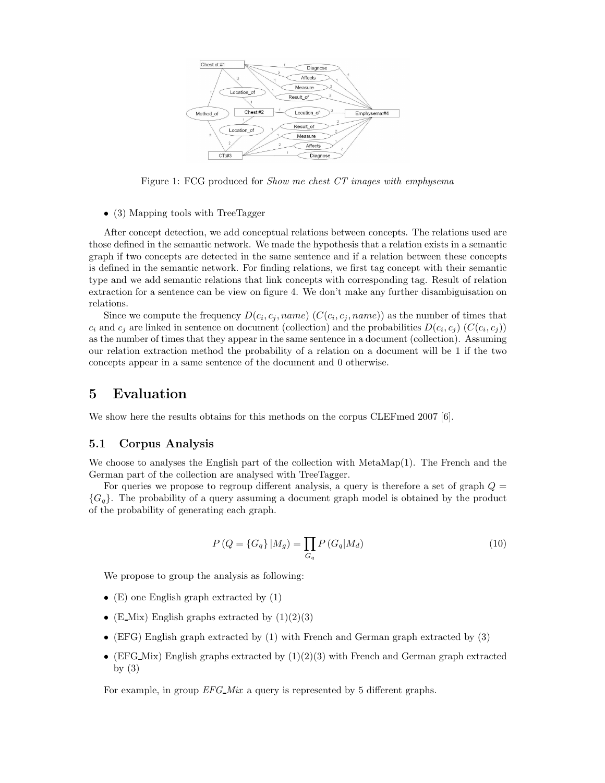

Figure 1: FCG produced for Show me chest CT images with emphysema

• (3) Mapping tools with TreeTagger

After concept detection, we add conceptual relations between concepts. The relations used are those defined in the semantic network. We made the hypothesis that a relation exists in a semantic graph if two concepts are detected in the same sentence and if a relation between these concepts is defined in the semantic network. For finding relations, we first tag concept with their semantic type and we add semantic relations that link concepts with corresponding tag. Result of relation extraction for a sentence can be view on figure 4. We don't make any further disambiguisation on relations.

Since we compute the frequency  $D(c_i, c_j, name)$  ( $C(c_i, c_j, name)$ ) as the number of times that  $c_i$  and  $c_j$  are linked in sentence on document (collection) and the probabilities  $D(c_i, c_j)$  ( $C(c_i, c_j)$ ) as the number of times that they appear in the same sentence in a document (collection). Assuming our relation extraction method the probability of a relation on a document will be 1 if the two concepts appear in a same sentence of the document and 0 otherwise.

## 5 Evaluation

We show here the results obtains for this methods on the corpus CLEFmed 2007 [6].

#### 5.1 Corpus Analysis

We choose to analyses the English part of the collection with MetaMap(1). The French and the German part of the collection are analysed with TreeTagger.

For queries we propose to regroup different analysis, a query is therefore a set of graph  $Q =$  ${G<sub>g</sub>}$ . The probability of a query assuming a document graph model is obtained by the product of the probability of generating each graph.

$$
P(Q = \{G_q\} | M_g) = \prod_{G_q} P(G_q | M_d)
$$
\n(10)

We propose to group the analysis as following:

- (E) one English graph extracted by (1)
- (E\_Mix) English graphs extracted by  $(1)(2)(3)$
- (EFG) English graph extracted by (1) with French and German graph extracted by (3)
- (EFG\_Mix) English graphs extracted by  $(1)(2)(3)$  with French and German graph extracted by  $(3)$

For example, in group  $EFG_M$  a query is represented by 5 different graphs.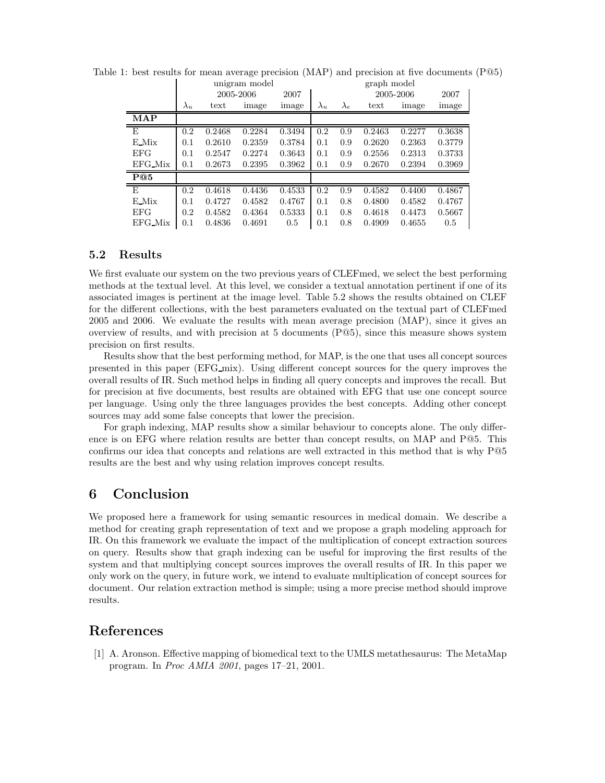|                    | unigram model |        |        |        |             | graph model |           |        |        |  |
|--------------------|---------------|--------|--------|--------|-------------|-------------|-----------|--------|--------|--|
|                    | 2005-2006     |        |        | 2007   |             |             | 2005-2006 | 2007   |        |  |
|                    | $\lambda_u$   | text   | image  | image  | $\lambda_u$ | $\lambda_e$ | text      | image  | image  |  |
| MAP                |               |        |        |        |             |             |           |        |        |  |
| $\overline{E}$     | 0.2           | 0.2468 | 0.2284 | 0.3494 | 0.2         | 0.9         | 0.2463    | 0.2277 | 0.3638 |  |
| $E$ <sub>Mix</sub> | 0.1           | 0.2610 | 0.2359 | 0.3784 | 0.1         | 0.9         | 0.2620    | 0.2363 | 0.3779 |  |
| <b>EFG</b>         | 0.1           | 0.2547 | 0.2274 | 0.3643 | 0.1         | 0.9         | 0.2556    | 0.2313 | 0.3733 |  |
| EFG_Mix            | 0.1           | 0.2673 | 0.2395 | 0.3962 | 0.1         | 0.9         | 0.2670    | 0.2394 | 0.3969 |  |
| P@5                |               |        |        |        |             |             |           |        |        |  |
| E                  | 0.2           | 0.4618 | 0.4436 | 0.4533 | 0.2         | 0.9         | 0.4582    | 0.4400 | 0.4867 |  |
| $E$ <sub>Mix</sub> | 0.1           | 0.4727 | 0.4582 | 0.4767 | 0.1         | 0.8         | 0.4800    | 0.4582 | 0.4767 |  |
| <b>EFG</b>         | 0.2           | 0.4582 | 0.4364 | 0.5333 | 0.1         | 0.8         | 0.4618    | 0.4473 | 0.5667 |  |
| $EFG_M$ ix         | 0.1           | 0.4836 | 0.4691 | 0.5    | 0.1         | 0.8         | 0.4909    | 0.4655 | 0.5    |  |

Table 1: best results for mean average precision (MAP) and precision at five documents (P@5)

#### 5.2 Results

We first evaluate our system on the two previous years of CLEF med, we select the best performing methods at the textual level. At this level, we consider a textual annotation pertinent if one of its associated images is pertinent at the image level. Table 5.2 shows the results obtained on CLEF for the different collections, with the best parameters evaluated on the textual part of CLEFmed 2005 and 2006. We evaluate the results with mean average precision (MAP), since it gives an overview of results, and with precision at 5 documents (P@5), since this measure shows system precision on first results.

Results show that the best performing method, for MAP, is the one that uses all concept sources presented in this paper (EFG mix). Using different concept sources for the query improves the overall results of IR. Such method helps in finding all query concepts and improves the recall. But for precision at five documents, best results are obtained with EFG that use one concept source per language. Using only the three languages provides the best concepts. Adding other concept sources may add some false concepts that lower the precision.

For graph indexing, MAP results show a similar behaviour to concepts alone. The only difference is on EFG where relation results are better than concept results, on MAP and P@5. This confirms our idea that concepts and relations are well extracted in this method that is why P@5 results are the best and why using relation improves concept results.

# 6 Conclusion

We proposed here a framework for using semantic resources in medical domain. We describe a method for creating graph representation of text and we propose a graph modeling approach for IR. On this framework we evaluate the impact of the multiplication of concept extraction sources on query. Results show that graph indexing can be useful for improving the first results of the system and that multiplying concept sources improves the overall results of IR. In this paper we only work on the query, in future work, we intend to evaluate multiplication of concept sources for document. Our relation extraction method is simple; using a more precise method should improve results.

# References

[1] A. Aronson. Effective mapping of biomedical text to the UMLS metathesaurus: The MetaMap program. In Proc AMIA 2001, pages 17–21, 2001.